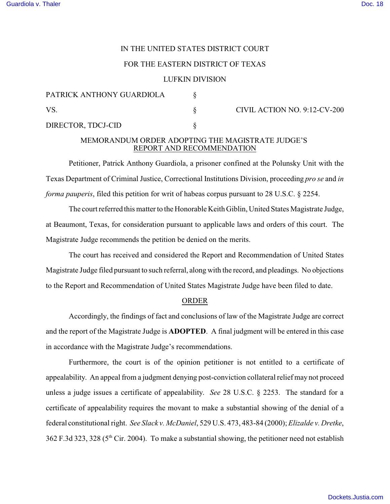# IN THE UNITED STATES DISTRICT COURT

### FOR THE EASTERN DISTRICT OF TEXAS

#### LUFKIN DIVISION

| PATRICK ANTHONY GUARDIOLA |  | CIVIL ACTION NO. 9:12-CV-200 |
|---------------------------|--|------------------------------|
| VS.                       |  |                              |
| DIRECTOR, TDCJ-CID        |  |                              |

# MEMORANDUM ORDER ADOPTING THE MAGISTRATE JUDGE'S REPORT AND RECOMMENDATION

Petitioner, Patrick Anthony Guardiola, a prisoner confined at the Polunsky Unit with the Texas Department of Criminal Justice, Correctional Institutions Division, proceeding *pro se* and *in forma pauperis*, filed this petition for writ of habeas corpus pursuant to 28 U.S.C. § 2254.

The court referred this matter to the Honorable Keith Giblin, United States Magistrate Judge, at Beaumont, Texas, for consideration pursuant to applicable laws and orders of this court. The Magistrate Judge recommends the petition be denied on the merits.

The court has received and considered the Report and Recommendation of United States Magistrate Judge filed pursuant to such referral, along with the record, and pleadings. No objections to the Report and Recommendation of United States Magistrate Judge have been filed to date.

### ORDER

Accordingly, the findings of fact and conclusions of law of the Magistrate Judge are correct and the report of the Magistrate Judge is **ADOPTED**. A final judgment will be entered in this case in accordance with the Magistrate Judge's recommendations.

Furthermore, the court is of the opinion petitioner is not entitled to a certificate of appealability. An appeal from a judgment denying post-conviction collateral relief may not proceed unless a judge issues a certificate of appealability. *See* 28 U.S.C. § 2253. The standard for a certificate of appealability requires the movant to make a substantial showing of the denial of a federal constitutional right. *See Slack v. McDaniel*, 529 U.S. 473, 483-84 (2000); *Elizalde v. Dretke*, 362 F.3d 323, 328 (5th Cir. 2004). To make a substantial showing, the petitioner need not establish